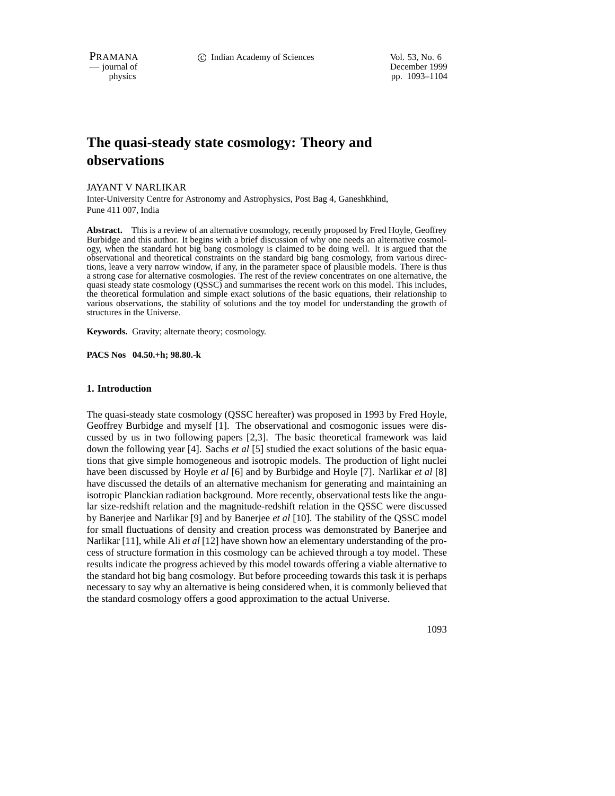PRAMANA **C** Indian Academy of Sciences Vol. 53, No. 6

— journal of December 1999 physics pp. 1093–1104

# **The quasi-steady state cosmology: Theory and observations**

## JAYANT V NARLIKAR

Inter-University Centre for Astronomy and Astrophysics, Post Bag 4, Ganeshkhind, Pune 411 007, India

**Abstract.** This is a review of an alternative cosmology, recently proposed by Fred Hoyle, Geoffrey Burbidge and this author. It begins with a brief discussion of why one needs an alternative cosmology, when the standard hot big bang cosmology is claimed to be doing well. It is argued that the observational and theoretical constraints on the standard big bang cosmology, from various directions, leave a very narrow window, if any, in the parameter space of plausible models. There is thus a strong case for alternative cosmologies. The rest of the review concentrates on one alternative, the quasi steady state cosmology (QSSC) and summarises the recent work on this model. This includes, the theoretical formulation and simple exact solutions of the basic equations, their relationship to various observations, the stability of solutions and the toy model for understanding the growth of structures in the Universe.

**Keywords.** Gravity; alternate theory; cosmology.

**PACS Nos 04.50.+h; 98.80.-k**

## **1. Introduction**

The quasi-steady state cosmology (QSSC hereafter) was proposed in 1993 by Fred Hoyle, Geoffrey Burbidge and myself [1]. The observational and cosmogonic issues were discussed by us in two following papers [2,3]. The basic theoretical framework was laid down the following year [4]. Sachs *et al* [5] studied the exact solutions of the basic equations that give simple homogeneous and isotropic models. The production of light nuclei have been discussed by Hoyle *et al* [6] and by Burbidge and Hoyle [7]. Narlikar *et al* [8] have discussed the details of an alternative mechanism for generating and maintaining an isotropic Planckian radiation background. More recently, observational tests like the angular size-redshift relation and the magnitude-redshift relation in the QSSC were discussed by Banerjee and Narlikar [9] and by Banerjee *et al* [10]. The stability of the QSSC model for small fluctuations of density and creation process was demonstrated by Banerjee and Narlikar [11], while Ali *et al* [12] have shown how an elementary understanding of the process of structure formation in this cosmology can be achieved through a toy model. These results indicate the progress achieved by this model towards offering a viable alternative to the standard hot big bang cosmology. But before proceeding towards this task it is perhaps necessary to say why an alternative is being considered when, it is commonly believed that the standard cosmology offers a good approximation to the actual Universe.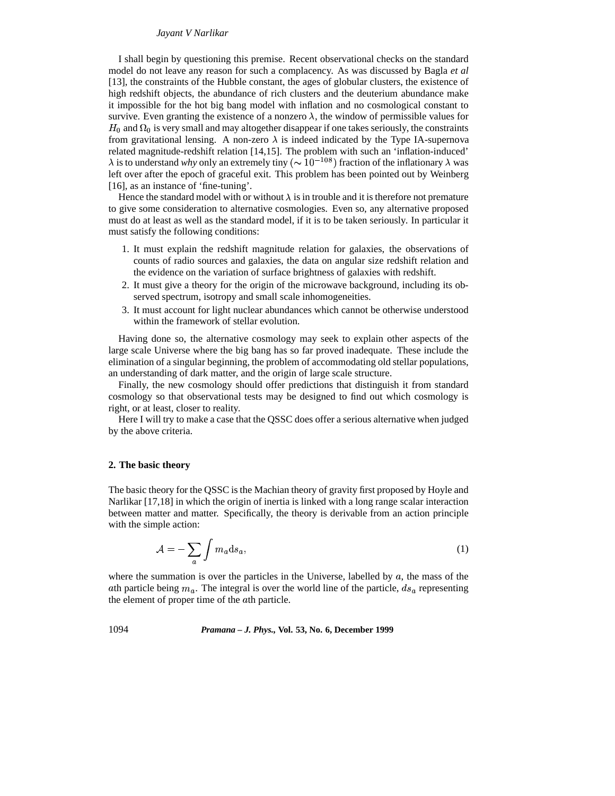I shall begin by questioning this premise. Recent observational checks on the standard model do not leave any reason for such a complacency. As was discussed by Bagla *et al* [13], the constraints of the Hubble constant, the ages of globular clusters, the existence of high redshift objects, the abundance of rich clusters and the deuterium abundance make it impossible for the hot big bang model with inflation and no cosmological constant to survive. Even granting the existence of a nonzero  $\lambda$ , the window of permissible values for  $H_0$  and  $\Omega_0$  is very small and may altogether disappear if one takes seriously, the constraints from gravitational lensing. A non-zero  $\lambda$  is indeed indicated by the Type IA-supernova related magnitude-redshift relation [14,15]. The problem with such an 'inflation-induced'  $\lambda$  is to understand *why* only an extremely tiny ( $\sim 10^{-108}$ ) fraction of the inflationary  $\lambda$  was left over after the epoch of graceful exit. This problem has been pointed out by Weinberg [16], as an instance of 'fine-tuning'.

Hence the standard model with or without  $\lambda$  is in trouble and it is therefore not premature to give some consideration to alternative cosmologies. Even so, any alternative proposed must do at least as well as the standard model, if it is to be taken seriously. In particular it must satisfy the following conditions:

- 1. It must explain the redshift magnitude relation for galaxies, the observations of counts of radio sources and galaxies, the data on angular size redshift relation and the evidence on the variation of surface brightness of galaxies with redshift.
- 2. It must give a theory for the origin of the microwave background, including its observed spectrum, isotropy and small scale inhomogeneities.
- 3. It must account for light nuclear abundances which cannot be otherwise understood within the framework of stellar evolution.

Having done so, the alternative cosmology may seek to explain other aspects of the large scale Universe where the big bang has so far proved inadequate. These include the elimination of a singular beginning, the problem of accommodating old stellar populations, an understanding of dark matter, and the origin of large scale structure.

Finally, the new cosmology should offer predictions that distinguish it from standard cosmology so that observational tests may be designed to find out which cosmology is right, or at least, closer to reality.

Here I will try to make a case that the QSSC does offer a serious alternative when judged by the above criteria.

## **2. The basic theory**

The basic theory for the QSSC is the Machian theory of gravity first proposed by Hoyle and Narlikar [17,18] in which the origin of inertia is linked with a long range scalar interaction between matter and matter. Specifically, the theory is derivable from an action principle with the simple action:

$$
\mathcal{A} = -\sum_{a} \int m_a \mathrm{d}s_a,\tag{1}
$$

where the summation is over the particles in the Universe, labelled by  $a$ , the mass of the ath particle being  $m_a$ . The integral is over the world line of the particle,  $ds_a$  representing the element of proper time of the  $a$ th particle.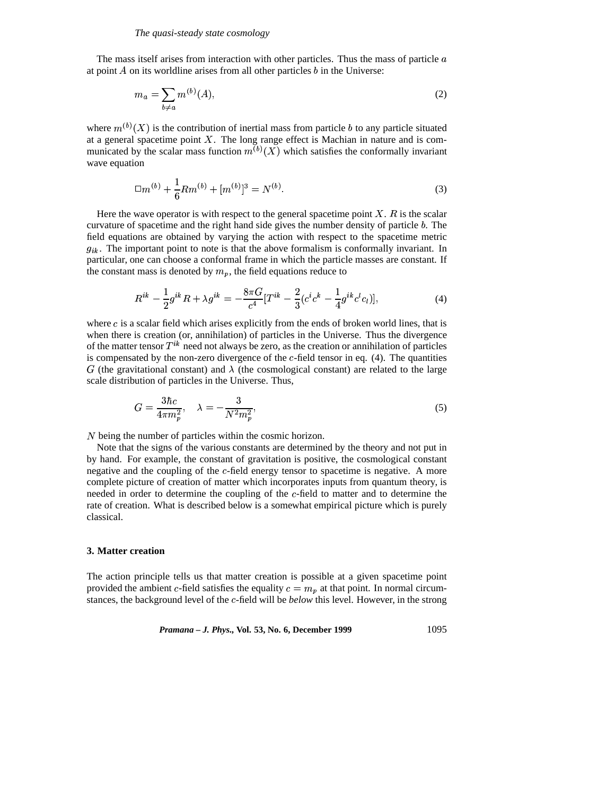The mass itself arises from interaction with other particles. Thus the mass of particle  $\alpha$ at point  $A$  on its worldline arises from all other particles  $b$  in the Universe:

$$
m_a = \sum_{b \neq a} m^{(b)}(A),\tag{2}
$$

where  $m^{(b)}(X)$  is the contribution of inertial mass from particle *b* to any particle situated at a general spacetime point X. The long range effect is Machian in nature and is com-<br>municated by the scalar mass function  $m^{(b)}(X)$  which satisfies the conformally invariant  $(X)$  which satisfies the conformally invariant wave equation

$$
\Box m^{(b)} + \frac{1}{6} Rm^{(b)} + [m^{(b)}]^3 = N^{(b)}.
$$
\n(3)

Here the wave operator is with respect to the general spacetime point  $X$ .  $\hat{R}$  is the scalar curvature of spacetime and the right hand side gives the number density of particle  $b$ . The field equations are obtained by varying the action with respect to the spacetime metric  $g_{ik}$ . The important point to note is that the above formalism is conformally invariant. In particular, one can choose a conformal frame in which the particle masses are constant. If the constant mass is denoted by  $m_p$ , the field equations reduce to

$$
R^{ik} - \frac{1}{2}g^{ik}R + \lambda g^{ik} = -\frac{8\pi G}{c^4}[T^{ik} - \frac{2}{3}(c^ic^k - \frac{1}{4}g^{ik}c^lc_l)],\tag{4}
$$

where  $c$  is a scalar field which arises explicitly from the ends of broken world lines, that is when there is creation (or, annihilation) of particles in the Universe. Thus the divergence of the matter tensor  $T^{ik}$  need not always be zero, as the creation or annihilation of particles need not always be zero, as the creation or annihilation of particles is compensated by the non-zero divergence of the  $c$ -field tensor in eq.  $(4)$ . The quantities G (the gravitational constant) and  $\lambda$  (the cosmological constant) are related to the large scale distribution of particles in the Universe. Thus,

$$
G = \frac{3\hbar c}{4\pi m_p^2}, \quad \lambda = -\frac{3}{N^2 m_p^2},\tag{5}
$$

 $N$  being the number of particles within the cosmic horizon.

Note that the signs of the various constants are determined by the theory and not put in by hand. For example, the constant of gravitation is positive, the cosmological constant negative and the coupling of the  $c$ -field energy tensor to spacetime is negative. A more complete picture of creation of matter which incorporates inputs from quantum theory, is needed in order to determine the coupling of the  $c$ -field to matter and to determine the rate of creation. What is described below is a somewhat empirical picture which is purely classical.

# **3. Matter creation**

The action principle tells us that matter creation is possible at a given spacetime point provided the ambient c-field satisfies the equality  $c = m_p$  at that point. In normal circumstances, the background level of the c-field will be *below* this level. However, in the strong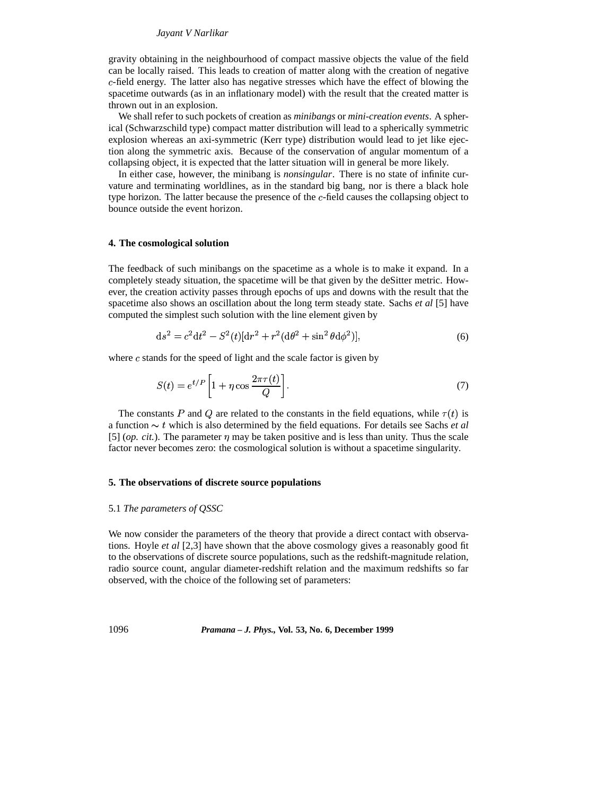gravity obtaining in the neighbourhood of compact massive objects the value of the field can be locally raised. This leads to creation of matter along with the creation of negative  $c$ -field energy. The latter also has negative stresses which have the effect of blowing the spacetime outwards (as in an inflationary model) with the result that the created matter is thrown out in an explosion.

We shall refer to such pockets of creation as *minibangs* or *mini-creation events*. A spherical (Schwarzschild type) compact matter distribution will lead to a spherically symmetric explosion whereas an axi-symmetric (Kerr type) distribution would lead to jet like ejection along the symmetric axis. Because of the conservation of angular momentum of a collapsing object, it is expected that the latter situation will in general be more likely.

In either case, however, the minibang is *nonsingular*. There is no state of infinite curvature and terminating worldlines, as in the standard big bang, nor is there a black hole type horizon. The latter because the presence of the  $c$ -field causes the collapsing object to bounce outside the event horizon.

## **4. The cosmological solution**

The feedback of such minibangs on the spacetime as a whole is to make it expand. In a completely steady situation, the spacetime will be that given by the deSitter metric. However, the creation activity passes through epochs of ups and downs with the result that the spacetime also shows an oscillation about the long term steady state. Sachs *et al* [5] have computed the simplest such solution with the line element given by<br>  $ds^2 = c^2 dt^2 - S^2(t)[dr^2 + r^2(d\theta^2 + \sin^2 \theta d\phi^2)].$ 

$$
ds^{2} = c^{2}dt^{2} - S^{2}(t)[dr^{2} + r^{2}(d\theta^{2} + \sin^{2}\theta d\phi^{2})],
$$
\n(6)

where  $c$  stands for the speed of light and the scale factor is given by

$$
S(t) = e^{t/P} \left[ 1 + \eta \cos \frac{2\pi \tau(t)}{Q} \right].
$$
 (7)

The constants P and Q are related to the constants in the field equations, while  $\tau(t)$  is a function  $\sim t$  which is also determined by the field equations. For details see Sachs *et al* [5] (*op. cit.*). The parameter  $\eta$  may be taken positive and is less than unity. Thus the scale [5] (*op. cit.*). The parameter  $\eta$  may be taken positive and is less than unity. Thus the scale factor never becomes zero: the cosmological solution is without a spacetime singularity.

## **5. The observations of discrete source populations**

# 5.1 *The parameters of QSSC*

We now consider the parameters of the theory that provide a direct contact with observations. Hoyle *et al* [2,3] have shown that the above cosmology gives a reasonably good fit to the observations of discrete source populations, such as the redshift-magnitude relation, radio source count, angular diameter-redshift relation and the maximum redshifts so far observed, with the choice of the following set of parameters: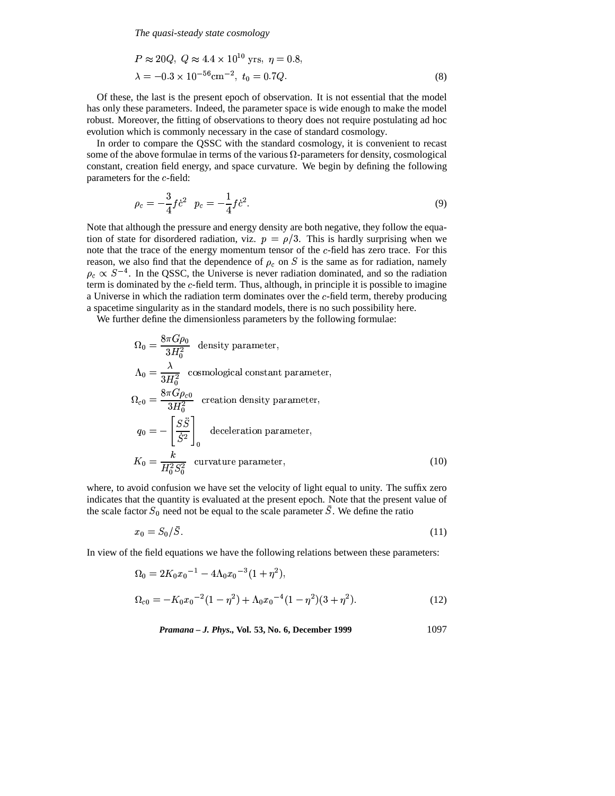*The quasi-steady state cosmology*

$$
P \approx 20Q, \ Q \approx 4.4 \times 10^{10} \text{ yrs}, \ \eta = 0.8,
$$
  

$$
\lambda = -0.3 \times 10^{-56} \text{cm}^{-2}, \ t_0 = 0.7Q.
$$
 (8)

Of these, the last is the present epoch of observation. It is not essential that the model has only these parameters. Indeed, the parameter space is wide enough to make the model robust. Moreover, the fitting of observations to theory does not require postulating ad hoc evolution which is commonly necessary in the case of standard cosmology.

In order to compare the QSSC with the standard cosmology, it is convenient to recast some of the above formulae in terms of the various  $\Omega$ -parameters for density, cosmological constant, creation field energy, and space curvature. We begin by defining the following parameters for the  $c$ -field:

$$
\rho_c = -\frac{3}{4} f \dot{c}^2 \quad p_c = -\frac{1}{4} f \dot{c}^2. \tag{9}
$$

Note that although the pressure and energy density are both negative, they follow the equation of state for disordered radiation, viz.  $p = \rho/3$ . This is hardly surprising when we note that the trace of the energy momentum tensor of the  $c$ -field has zero trace. For this reason, we also find that the dependence of  $\rho_c$  on S is the same as for radiation, namely  $\rho_c \propto S^{-4}$ . In the QSSC, the Universe is never radiation dominated, and so the radiation term is dominated by the  $c$ -field term. Thus, although, in principle it is possible to imagine a Universe in which the radiation term dominates over the  $c$ -field term, thereby producing a spacetime singularity as in the standard models, there is no such possibility here.

We further define the dimensionless parameters by the following formulae:

$$
\Omega_0 = \frac{8\pi G\rho_0}{3H_0^2}
$$
 density parameter,  
\n
$$
\Lambda_0 = \frac{\lambda}{3H_0^2}
$$
 cosmological constant parameter,  
\n
$$
\Omega_{c0} = \frac{8\pi G\rho_{c0}}{3H_0^2}
$$
 creation density parameter,  
\n
$$
q_0 = -\left[\frac{S\ddot{S}}{\dot{S}^2}\right]_0
$$
 deceleration parameter,  
\n
$$
K_0 = \frac{k}{H_0^2 S_0^2}
$$
 curvature parameter, (10)

where, to avoid confusion we have set the velocity of light equal to unity. The suffix zero indicates that the quantity is evaluated at the present epoch. Note that the present value of the scale factor  $S_0$  need not be equal to the scale parameter  $\bar{S}$ . We define the ratio

$$
x_0 = S_0 / \bar{S}.\tag{11}
$$

In view of the field equations we have the following relations between these parameters:<br>  $\Omega_0 = 2K_0 x_0^{-1} - 4\Lambda_0 x_0^{-3} (1 + n^2)$ .

$$
\Omega_0 = 2K_0 x_0^{-1} - 4\Lambda_0 x_0^{-3} (1 + \eta^2),
$$
  
\n
$$
\Omega_{c0} = -K_0 x_0^{-2} (1 - \eta^2) + \Lambda_0 x_0^{-4} (1 - \eta^2) (3 + \eta^2).
$$
\n(12)

*Pramana – J. Phys.,* **Vol. 53, No. 6, December 1999** 1097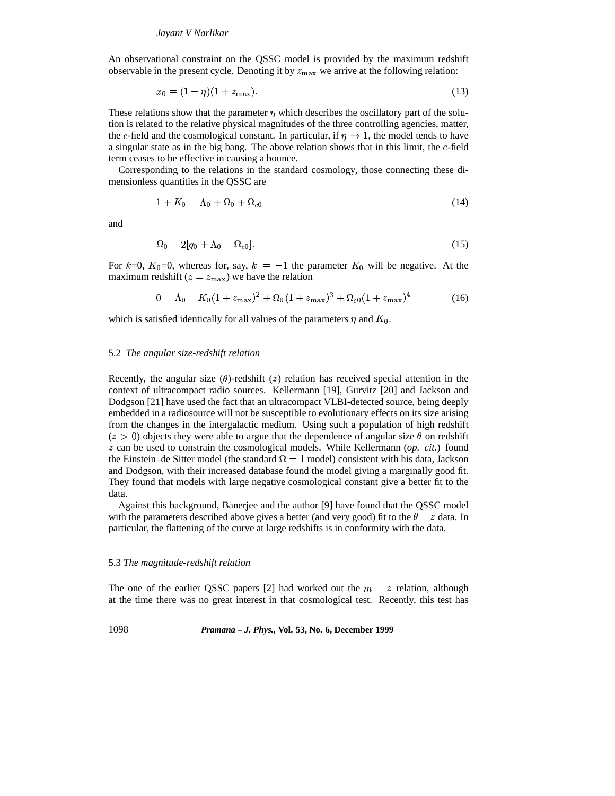An observational constraint on the QSSC model is provided by the maximum redshift observable in the present cycle. Denoting it by  $z_{\text{max}}$  we arrive at the following relation:<br>  $x_0 = (1 - n)(1 + z_{\text{max}})$ .

$$
x_0 = (1 - \eta)(1 + z_{\text{max}}). \tag{13}
$$

These relations show that the parameter  $\eta$  which describes the oscillatory part of the solution is related to the relative physical magnitudes of the three controlling agencies, matter, the Texture Texture The Texture of the three controlling agencies, matter, the c-field and the cosmological constant. In particular, if  $\eta \to 1$ , the model tends to have a singular state as in the big bang. The above relation shows that in this limit, the  $c$ -field term ceases to be effective in causing a bounce.

Corresponding to the relations in the standard cosmology, those connecting these dimensionless quantities in the QSSC are<br>  $1 + K_0 = \Lambda_0 + \Omega_0 + \Omega_{c0}$ 

$$
1 + K_0 = \Lambda_0 + \Omega_0 + \Omega_{c0} \tag{14}
$$

and

$$
\Omega_0 = 2[q_0 + \Lambda_0 - \Omega_{c0}].
$$
\n(15)

For  $k=0$ ,  $K_0=0$ , whereas for, say,  $k = -1$  the parameter  $K_0$  will be negative. At the maximum redshift ( $z = z_{\text{max}}$ ) we have the relation<br>  $0 = \Lambda_0 - K_0 (1 + z_{\text{max}})^2 + \Omega_0 (1 + z_{\text{max}})$ 

$$
0 = \Lambda_0 - K_0 (1 + z_{\text{max}})^2 + \Omega_0 (1 + z_{\text{max}})^3 + \Omega_{c0} (1 + z_{\text{max}})^4
$$
 (16)

 $0 = \Lambda_0 - \Lambda_0 (1 + z_{\text{max}}) + \Lambda_0 (1 + z_{\text{max}}) + \Lambda_0 (1 + z_{\text{max}})$ <br>which is satisfied identically for all values of the parameters  $\eta$  and  $K_0$ .

#### 5.2 *The angular size-redshift relation*

Recently, the angular size  $(\theta)$ -redshift  $(z)$  relation has received special attention in the context of ultracompact radio sources. Kellermann [19], Gurvitz [20] and Jackson and Dodgson [21] have used the fact that an ultracompact VLBI-detected source, being deeply embedded in a radiosource will not be susceptible to evolutionary effects on its size arising from the changes in the intergalactic medium. Using such a population of high redshift from the changes in the intergalactic medium. Using such a population of high redshift  $(z > 0)$  objects they were able to argue that the dependence of angular size  $\theta$  on redshift ± can be used to constrain the cosmological models. While Kellermann (*op. cit.*) found the Einstein–de Sitter model (the standard  $\Omega = 1$  model) consistent with his data, Jackson and Dodgson, with their increased database found the model giving a marginally good fit. They found that models with large negative cosmological constant give a better fit to the data.

Against this background, Banerjee and the author [9] have found that the QSSC model Against this background, Banerjee and the author [9] have found that the QSSC model with the parameters described above gives a better (and very good) fit to the  $\theta - z$  data. In particular, the flattening of the curve at large redshifts is in conformity with the data.

## 5.3 *The magnitude-redshift relation*

The one of the earlier QSSC papers [2] had worked out the  $m - z$  relation, although at the time there was no great interest in that cosmological test. Recently, this test has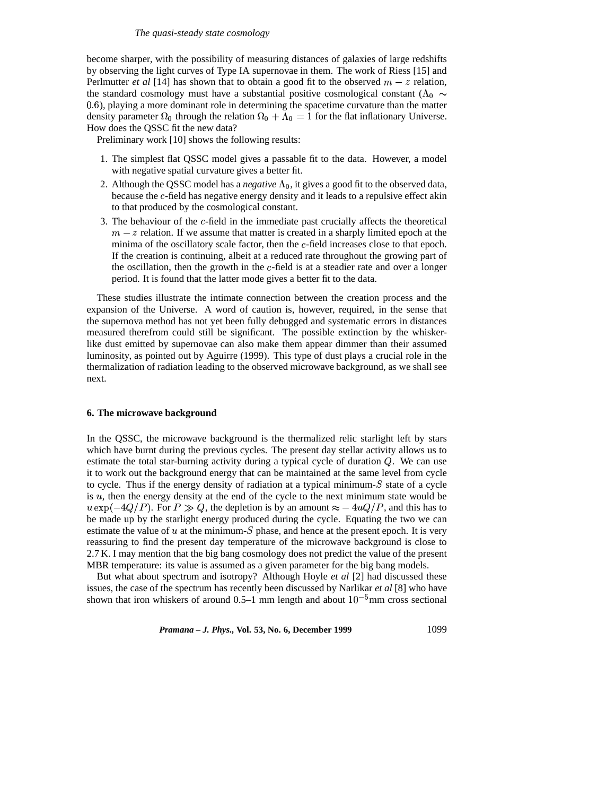### *The quasi-steady state cosmology*

become sharper, with the possibility of measuring distances of galaxies of large redshifts by observing the light curves of Type IA supernovae in them. The work of Riess [15] and Perlmutter *et al* [14] has shown that to obtain a good fit to the observed  $m - z$  relation, the standard cosmology must have a substantial positive cosmological constant ( $\Lambda_0 \sim$ 0.6), playing a more dominant role in determining the spacetime curvature than the matter density parameter  $\Omega_0$  through the relation  $\Omega_0 + \Lambda_0 = 1$  for the flat inflationary Universe. How does the QSSC fit the new data?

Preliminary work [10] shows the following results:

- 1. The simplest flat QSSC model gives a passable fit to the data. However, a model with negative spatial curvature gives a better fit.
- 2. Although the QSSC model has a *negative*  $\Lambda_0$ , it gives a good fit to the observed data, because the  $c$ -field has negative energy density and it leads to a repulsive effect akin to that produced by the cosmological constant.
- 3. The behaviour of the  $c$ -field in the immediate past crucially affects the theoretical  $m - z$  relation. If we assume that matter is created in a sharply limited epoch at the minima of the oscillatory scale factor, then the  $c$ -field increases close to that epoch. If the creation is continuing, albeit at a reduced rate throughout the growing part of the oscillation, then the growth in the  $c$ -field is at a steadier rate and over a longer period. It is found that the latter mode gives a better fit to the data.

These studies illustrate the intimate connection between the creation process and the expansion of the Universe. A word of caution is, however, required, in the sense that the supernova method has not yet been fully debugged and systematic errors in distances measured therefrom could still be significant. The possible extinction by the whiskerlike dust emitted by supernovae can also make them appear dimmer than their assumed luminosity, as pointed out by Aguirre (1999). This type of dust plays a crucial role in the thermalization of radiation leading to the observed microwave background, as we shall see next.

#### **6. The microwave background**

In the QSSC, the microwave background is the thermalized relic starlight left by stars which have burnt during the previous cycles. The present day stellar activity allows us to estimate the total star-burning activity during a typical cycle of duration  $Q$ . We can use it to work out the background energy that can be maintained at the same level from cycle to cycle. Thus if the energy density of radiation at a typical minimum- $S$  state of a cycle is  $u$ , then the energy density at the end of the cycle to the next minimum state would be  $u \exp(-4Q/P)$ . For  $P \gg Q$ , the depletion is by an amount  $\approx -4uQ/P$ , and this has to be made up by the starlight energy produced during the cycle. Equating the two we can estimate the value of  $u$  at the minimum-S phase, and hence at the present epoch. It is very reassuring to find the present day temperature of the microwave background is close to 2.7 K. I may mention that the big bang cosmology does not predict the value of the present MBR temperature: its value is assumed as a given parameter for the big bang models.

But what about spectrum and isotropy? Although Hoyle *et al* [2] had discussed these issues, the case of the spectrum has recently been discussed by Narlikar *et al* [8] who have shown that iron whiskers of around  $0.5-1$  mm length and about  $10^{-5}$  mm cross sectional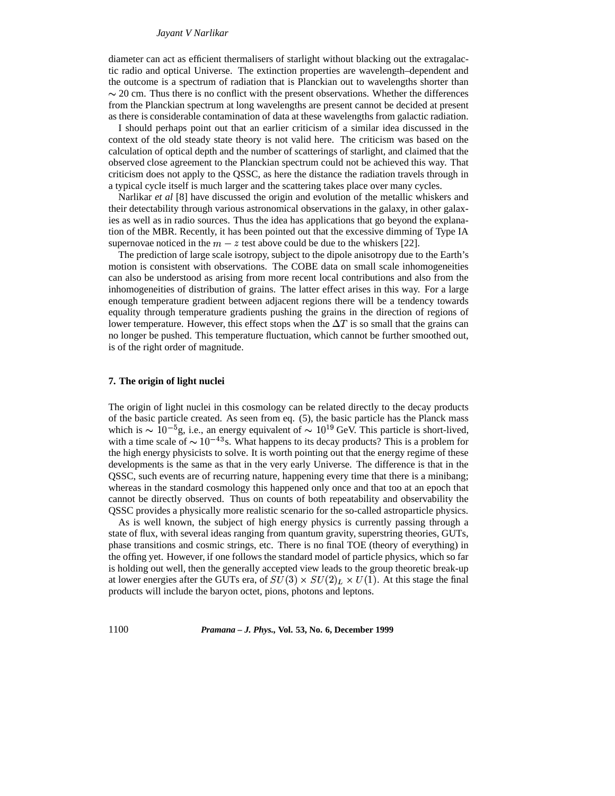diameter can act as efficient thermalisers of starlight without blacking out the extragalactic radio and optical Universe. The extinction properties are wavelength–dependent and the outcome is a spectrum of radiation that is Planckian out to wavelengths shorter than  $\sim$  20 cm. Thus there is no conflict with the present observations. Whether the differences from the Planckian spectrum at long wavelengths are present cannot be decided at present as there is considerable contamination of data at these wavelengths from galactic radiation.

I should perhaps point out that an earlier criticism of a similar idea discussed in the context of the old steady state theory is not valid here. The criticism was based on the calculation of optical depth and the number of scatterings of starlight, and claimed that the observed close agreement to the Planckian spectrum could not be achieved this way. That criticism does not apply to the QSSC, as here the distance the radiation travels through in a typical cycle itself is much larger and the scattering takes place over many cycles.

Narlikar *et al* [8] have discussed the origin and evolution of the metallic whiskers and their detectability through various astronomical observations in the galaxy, in other galaxies as well as in radio sources. Thus the idea has applications that go beyond the explanation of the MBR. Recently, it has been pointed out that the excessive dimming of Type IA supernovae noticed in the  $m - z$  test above could be due to the whiskers [22].

The prediction of large scale isotropy, subject to the dipole anisotropy due to the Earth's motion is consistent with observations. The COBE data on small scale inhomogeneities can also be understood as arising from more recent local contributions and also from the inhomogeneities of distribution of grains. The latter effect arises in this way. For a large enough temperature gradient between adjacent regions there will be a tendency towards equality through temperature gradients pushing the grains in the direction of regions of lower temperature. However, this effect stops when the  $\Delta T$  is so small that the grains can no longer be pushed. This temperature fluctuation, which cannot be further smoothed out, is of the right order of magnitude.

# **7. The origin of light nuclei**

The origin of light nuclei in this cosmology can be related directly to the decay products of the basic particle created. As seen from eq. (5), the basic particle has the Planck mass A which is  $\sim 10^{-5}$ g, i.e., an energy equivalent of  $\sim 10^{19}$  GeV. This particle is short-lived, with a time scale of  $\sim 10^{-43}$  s. What happens to its decay products? This is a problem for the high energy physicists to solve. It is worth pointing out that the energy regime of these developments is the same as that in the very early Universe. The difference is that in the QSSC, such events are of recurring nature, happening every time that there is a minibang; whereas in the standard cosmology this happened only once and that too at an epoch that cannot be directly observed. Thus on counts of both repeatability and observability the QSSC provides a physically more realistic scenario for the so-called astroparticle physics.

As is well known, the subject of high energy physics is currently passing through a state of flux, with several ideas ranging from quantum gravity, superstring theories, GUTs, phase transitions and cosmic strings, etc. There is no final TOE (theory of everything) in the offing yet. However, if one follows the standard model of particle physics, which so far is holding out well, then the generally accepted view leads to the group theoretic break-up at lower energies after the GUTs era, of  $SU(3) \times SU(2)_L \times U(1)$ . At this stage the final products will include the baryon octet, pions, photons and leptons.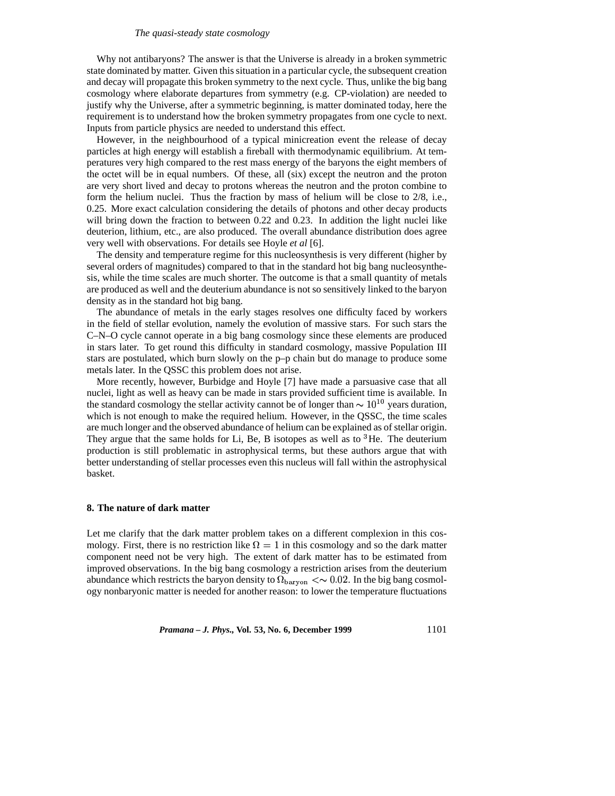### *The quasi-steady state cosmology*

Why not antibaryons? The answer is that the Universe is already in a broken symmetric state dominated by matter. Given thissituation in a particular cycle, the subsequent creation and decay will propagate this broken symmetry to the next cycle. Thus, unlike the big bang cosmology where elaborate departures from symmetry (e.g. CP-violation) are needed to justify why the Universe, after a symmetric beginning, is matter dominated today, here the requirement is to understand how the broken symmetry propagates from one cycle to next. Inputs from particle physics are needed to understand this effect.

However, in the neighbourhood of a typical minicreation event the release of decay particles at high energy will establish a fireball with thermodynamic equilibrium. At temperatures very high compared to the rest mass energy of the baryons the eight members of the octet will be in equal numbers. Of these, all (six) except the neutron and the proton are very short lived and decay to protons whereas the neutron and the proton combine to form the helium nuclei. Thus the fraction by mass of helium will be close to 2/8, i.e., 0.25. More exact calculation considering the details of photons and other decay products will bring down the fraction to between 0.22 and 0.23. In addition the light nuclei like deuterion, lithium, etc., are also produced. The overall abundance distribution does agree very well with observations. For details see Hoyle *et al* [6].

The density and temperature regime for this nucleosynthesis is very different (higher by several orders of magnitudes) compared to that in the standard hot big bang nucleosynthesis, while the time scales are much shorter. The outcome is that a small quantity of metals are produced as well and the deuterium abundance is not so sensitively linked to the baryon density as in the standard hot big bang.

The abundance of metals in the early stages resolves one difficulty faced by workers in the field of stellar evolution, namely the evolution of massive stars. For such stars the C–N–O cycle cannot operate in a big bang cosmology since these elements are produced in stars later. To get round this difficulty in standard cosmology, massive Population III stars are postulated, which burn slowly on the p–p chain but do manage to produce some metals later. In the QSSC this problem does not arise.

More recently, however, Burbidge and Hoyle [7] have made a parsuasive case that all nuclei, light as well as heavy can be made in stars provided sufficient time is available. In the standard cosmology the stellar activity cannot be of longer than  $\sim 10^{10}$  years duration, which is not enough to make the required helium. However, in the QSSC, the time scales are much longer and the observed abundance of helium can be explained as of stellar origin. They argue that the same holds for Li, Be, B isotopes as well as to  $3$ He. The deuterium production is still problematic in astrophysical terms, but these authors argue that with better understanding of stellar processes even this nucleus will fall within the astrophysical basket.

#### **8. The nature of dark matter**

Let me clarify that the dark matter problem takes on a different complexion in this cosmology. First, there is no restriction like  $\Omega = 1$  in this cosmology and so the dark matter component need not be very high. The extent of dark matter has to be estimated from improved observations. In the big bang cosmology a restriction arises from the deuterium improved observations. In the big bang cosmology a restriction arises from the deuterium abundance which restricts the baryon density to  $\Omega_{\rm baryon} < \sim 0.02$ . In the big bang cosmology nonbaryonic matter is needed for another reason: to lower the temperature fluctuations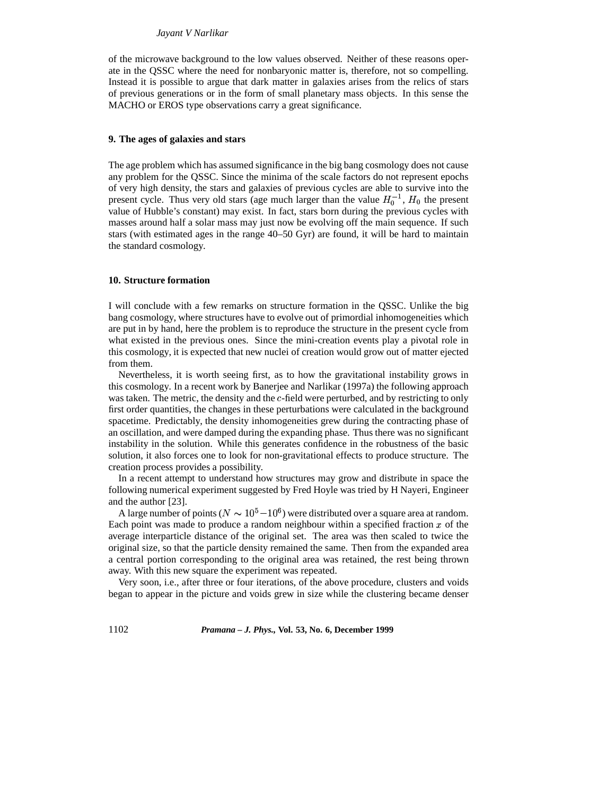of the microwave background to the low values observed. Neither of these reasons operate in the QSSC where the need for nonbaryonic matter is, therefore, not so compelling. Instead it is possible to argue that dark matter in galaxies arises from the relics of stars of previous generations or in the form of small planetary mass objects. In this sense the MACHO or EROS type observations carry a great significance.

### **9. The ages of galaxies and stars**

The age problem which has assumed significance in the big bang cosmology does not cause any problem for the QSSC. Since the minima of the scale factors do not represent epochs of very high density, the stars and galaxies of previous cycles are able to survive into the present cycle. Thus very old stars (age much larger than the value  $H_0^{-1}$ ,  $H_0$  the present value of Hubble's constant) may exist. In fact, stars born during the previous cycles with masses around half a solar mass may just now be evolving off the main sequence. If such stars (with estimated ages in the range 40–50 Gyr) are found, it will be hard to maintain the standard cosmology.

# **10. Structure formation**

I will conclude with a few remarks on structure formation in the QSSC. Unlike the big bang cosmology, where structures have to evolve out of primordial inhomogeneities which are put in by hand, here the problem is to reproduce the structure in the present cycle from what existed in the previous ones. Since the mini-creation events play a pivotal role in this cosmology, it is expected that new nuclei of creation would grow out of matter ejected from them.

Nevertheless, it is worth seeing first, as to how the gravitational instability grows in this cosmology. In a recent work by Banerjee and Narlikar (1997a) the following approach was taken. The metric, the density and the  $c$ -field were perturbed, and by restricting to only first order quantities, the changes in these perturbations were calculated in the background spacetime. Predictably, the density inhomogeneities grew during the contracting phase of an oscillation, and were damped during the expanding phase. Thus there was no significant instability in the solution. While this generates confidence in the robustness of the basic solution, it also forces one to look for non-gravitational effects to produce structure. The creation process provides a possibility.

In a recent attempt to understand how structures may grow and distribute in space the following numerical experiment suggested by Fred Hoyle was tried by H Nayeri, Engineer and the author [23].

A large number of points ( $N \sim 10^5 - 10^6$ ) were distributed over a square area at random. Each point was made to produce a random neighbour within a specified fraction  $x$  of the average interparticle distance of the original set. The area was then scaled to twice the original size, so that the particle density remained the same. Then from the expanded area a central portion corresponding to the original area was retained, the rest being thrown away. With this new square the experiment was repeated.

Very soon, i.e., after three or four iterations, of the above procedure, clusters and voids began to appear in the picture and voids grew in size while the clustering became denser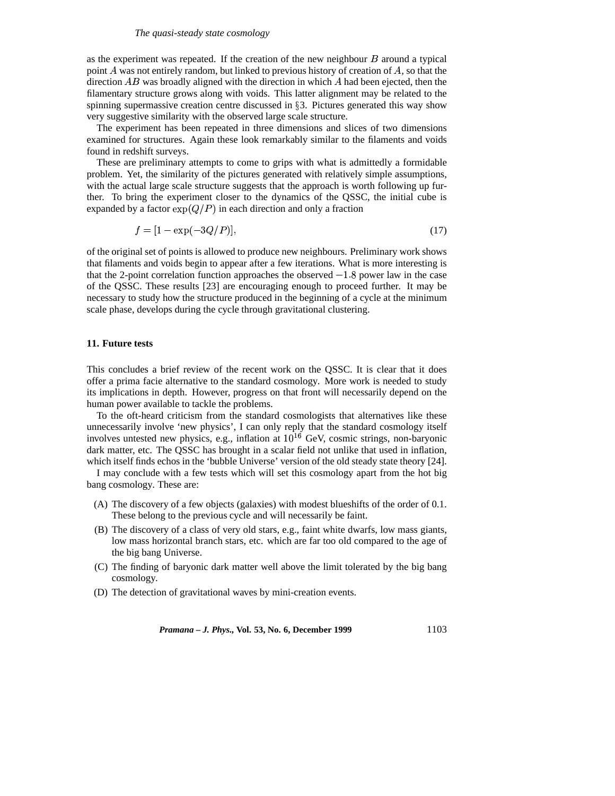as the experiment was repeated. If the creation of the new neighbour  $B$  around a typical point  $A$  was not entirely random, but linked to previous history of creation of  $A$ , so that the direction  $\overline{AB}$  was broadly aligned with the direction in which  $\overline{A}$  had been ejected, then the filamentary structure grows along with voids. This latter alignment may be related to the spinning supermassive creation centre discussed in  $\S$ 3. Pictures generated this way show very suggestive similarity with the observed large scale structure.

The experiment has been repeated in three dimensions and slices of two dimensions examined for structures. Again these look remarkably similar to the filaments and voids found in redshift surveys.

These are preliminary attempts to come to grips with what is admittedly a formidable problem. Yet, the similarity of the pictures generated with relatively simple assumptions, with the actual large scale structure suggests that the approach is worth following up further. To bring the experiment closer to the dynamics of the QSSC, the initial cube is ther. To bring the experiment closer to the dynamics of the QSS<br>expanded by a factor  $\exp(Q/P)$  in each direction and only a fraction

$$
f = [1 - \exp(-3Q/P)],\tag{17}
$$

of the original set of points is allowed to produce new neighbours. Preliminary work shows E that filaments and voids begin to appear after a few iterations. What is more interesting is that the 2-point correlation function approaches the observed  $-1.8$  power law in the case of the QSSC. These results [23] are encouraging enough to proceed further. It may be necessary to study how the structure produced in the beginning of a cycle at the minimum scale phase, develops during the cycle through gravitational clustering.

### **11. Future tests**

This concludes a brief review of the recent work on the QSSC. It is clear that it does offer a prima facie alternative to the standard cosmology. More work is needed to study its implications in depth. However, progress on that front will necessarily depend on the human power available to tackle the problems.

To the oft-heard criticism from the standard cosmologists that alternatives like these unnecessarily involve 'new physics', I can only reply that the standard cosmology itself involves untested new physics, e.g., inflation at  $10^{16}$  GeV, cosmic strings, non-baryonic dark matter, etc. The QSSC has brought in a scalar field not unlike that used in inflation, which itself finds echos in the 'bubble Universe' version of the old steady state theory [24].

I may conclude with a few tests which will set this cosmology apart from the hot big bang cosmology. These are:

- (A) The discovery of a few objects (galaxies) with modest blueshifts of the order of 0.1. These belong to the previous cycle and will necessarily be faint.
- (B) The discovery of a class of very old stars, e.g., faint white dwarfs, low mass giants, low mass horizontal branch stars, etc. which are far too old compared to the age of the big bang Universe.
- (C) The finding of baryonic dark matter well above the limit tolerated by the big bang cosmology.
- (D) The detection of gravitational waves by mini-creation events.